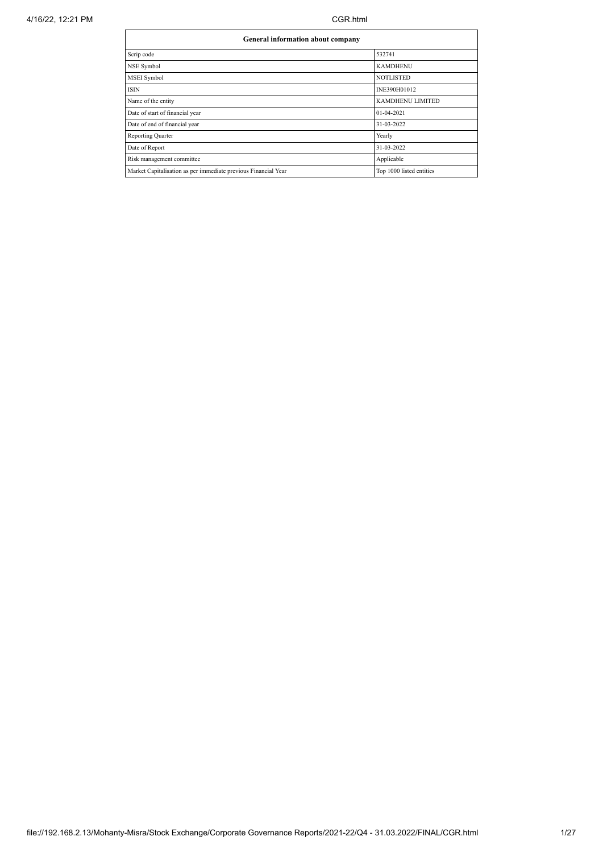| General information about company                              |                          |  |  |  |  |  |  |
|----------------------------------------------------------------|--------------------------|--|--|--|--|--|--|
| Scrip code                                                     | 532741                   |  |  |  |  |  |  |
| NSE Symbol                                                     | <b>KAMDHENU</b>          |  |  |  |  |  |  |
| <b>MSEI</b> Symbol                                             | <b>NOTLISTED</b>         |  |  |  |  |  |  |
| <b>ISIN</b>                                                    | INE390H01012             |  |  |  |  |  |  |
| Name of the entity                                             | KAMDHENU LIMITED         |  |  |  |  |  |  |
| Date of start of financial year                                | 01-04-2021               |  |  |  |  |  |  |
| Date of end of financial year                                  | 31-03-2022               |  |  |  |  |  |  |
| <b>Reporting Quarter</b>                                       | Yearly                   |  |  |  |  |  |  |
| Date of Report                                                 | 31-03-2022               |  |  |  |  |  |  |
| Risk management committee                                      | Applicable               |  |  |  |  |  |  |
| Market Capitalisation as per immediate previous Financial Year | Top 1000 listed entities |  |  |  |  |  |  |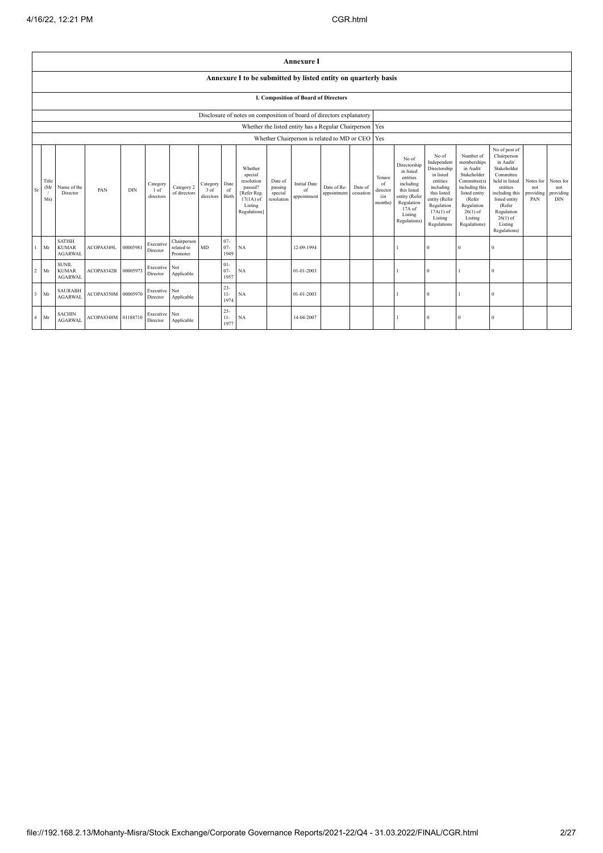|                                                                                                                                                                                                                                                                                                                                                                                                                                            | <b>Annexure I</b>                                                    |                                                 |                     |          |                           |                                            |                                                                                                                                                  |                                                                                                                                                                   |                                                                                                                                                                          |                                                                                                                                                                                                         |                                      |                                                           |  |     |  |  |  |  |  |  |
|--------------------------------------------------------------------------------------------------------------------------------------------------------------------------------------------------------------------------------------------------------------------------------------------------------------------------------------------------------------------------------------------------------------------------------------------|----------------------------------------------------------------------|-------------------------------------------------|---------------------|----------|---------------------------|--------------------------------------------|--------------------------------------------------------------------------------------------------------------------------------------------------|-------------------------------------------------------------------------------------------------------------------------------------------------------------------|--------------------------------------------------------------------------------------------------------------------------------------------------------------------------|---------------------------------------------------------------------------------------------------------------------------------------------------------------------------------------------------------|--------------------------------------|-----------------------------------------------------------|--|-----|--|--|--|--|--|--|
|                                                                                                                                                                                                                                                                                                                                                                                                                                            | Annexure I to be submitted by listed entity on quarterly basis       |                                                 |                     |          |                           |                                            |                                                                                                                                                  |                                                                                                                                                                   |                                                                                                                                                                          |                                                                                                                                                                                                         |                                      |                                                           |  |     |  |  |  |  |  |  |
|                                                                                                                                                                                                                                                                                                                                                                                                                                            | I. Composition of Board of Directors                                 |                                                 |                     |          |                           |                                            |                                                                                                                                                  |                                                                                                                                                                   |                                                                                                                                                                          |                                                                                                                                                                                                         |                                      |                                                           |  |     |  |  |  |  |  |  |
|                                                                                                                                                                                                                                                                                                                                                                                                                                            | Disclosure of notes on composition of board of directors explanatory |                                                 |                     |          |                           |                                            |                                                                                                                                                  |                                                                                                                                                                   |                                                                                                                                                                          |                                                                                                                                                                                                         |                                      |                                                           |  |     |  |  |  |  |  |  |
|                                                                                                                                                                                                                                                                                                                                                                                                                                            |                                                                      |                                                 |                     |          |                           |                                            |                                                                                                                                                  |                                                                                                                                                                   |                                                                                                                                                                          |                                                                                                                                                                                                         |                                      | Whether the listed entity has a Regular Chairperson   Yes |  |     |  |  |  |  |  |  |
|                                                                                                                                                                                                                                                                                                                                                                                                                                            |                                                                      |                                                 |                     |          |                           |                                            |                                                                                                                                                  |                                                                                                                                                                   |                                                                                                                                                                          |                                                                                                                                                                                                         |                                      | Whether Chairperson is related to MD or CEO               |  | Yes |  |  |  |  |  |  |
| Whether<br>special<br>Title<br>resolution<br>Date of<br><b>Initial Date</b><br>Date<br>Category<br>Category<br>Category 2<br>(Mr)<br>passed?<br>passing<br>Date of Re-<br>Name of the<br>$\rm Sr$<br>PAN<br><b>DIN</b><br>$3$ of<br>of<br>of<br>1 of<br>special<br>[Refer Reg.<br>Director<br>of directors<br>appointment<br>Birth<br>directors<br>appointment<br>directors<br>Ms)<br>resolution<br>$17(1A)$ of<br>Listing<br>Regulations] |                                                                      |                                                 |                     |          | Date of<br>cessation      | Tenure<br>of<br>director<br>(in<br>months) | No of<br>Directorship<br>in listed<br>entities<br>including<br>this listed<br>entity (Refer<br>Regulation<br>$17A$ of<br>Listing<br>Regulations) | No of<br>Independent<br>Directorship<br>in listed<br>entities<br>including<br>this listed<br>entity (Refer<br>Regulation<br>$17A(1)$ of<br>Listing<br>Regulations | Number of<br>memberships<br>in Audit/<br>Stakeholder<br>Committee(s)<br>including this<br>listed entity<br>(Refer<br>Regulation<br>$26(1)$ of<br>Listing<br>Regulations) | No of post of<br>Chairperson<br>in Audit/<br>Stakeholder<br>Committee<br>held in listed<br>entities<br>including this<br>listed entity<br>(Refer<br>Regulation<br>$26(1)$ of<br>Listing<br>Regulations) | Notes for<br>not<br>providing<br>PAN | Notes for<br>not<br>providing<br><b>DIN</b>               |  |     |  |  |  |  |  |  |
| $\mathbf{1}$                                                                                                                                                                                                                                                                                                                                                                                                                               | Mr                                                                   | <b>SATISH</b><br><b>KUMAR</b><br><b>AGARWAL</b> | ACOPA8349L          | 00005981 | Executive<br>Director     | Chairperson<br>related to<br>Promoter      | MD                                                                                                                                               | $07 -$<br>$07 -$<br>1949                                                                                                                                          | <b>NA</b>                                                                                                                                                                |                                                                                                                                                                                                         | 12-09-1994                           |                                                           |  |     |  |  |  |  |  |  |
| $\overline{2}$                                                                                                                                                                                                                                                                                                                                                                                                                             | Mr                                                                   | <b>SUNIL</b><br><b>KUMAR</b><br><b>AGARWAL</b>  | ACOPA8342B          | 00005973 | Executive Not<br>Director | Applicable                                 |                                                                                                                                                  | $01 -$<br>$07 -$<br>1957                                                                                                                                          | NA                                                                                                                                                                       |                                                                                                                                                                                                         | 01-01-2003                           |                                                           |  |     |  |  |  |  |  |  |
|                                                                                                                                                                                                                                                                                                                                                                                                                                            | $3$ Mr                                                               | <b>SAURABH</b><br><b>AGARWAL</b>                | ACOPA8350M          | 00005970 | Executive Not<br>Director | Applicable                                 |                                                                                                                                                  | $23 -$<br>$11-$<br>1974                                                                                                                                           | NA                                                                                                                                                                       |                                                                                                                                                                                                         | 01-01-2003                           |                                                           |  |     |  |  |  |  |  |  |
| $4$ Mr                                                                                                                                                                                                                                                                                                                                                                                                                                     |                                                                      | <b>SACHIN</b><br><b>AGARWAL</b>                 | ACOPA8348M 01188710 |          | Executive<br>Director     | Not<br>Applicable                          |                                                                                                                                                  | $25 -$<br>$11-$<br>1977                                                                                                                                           | <b>NA</b>                                                                                                                                                                |                                                                                                                                                                                                         | 14-04-2007                           |                                                           |  |     |  |  |  |  |  |  |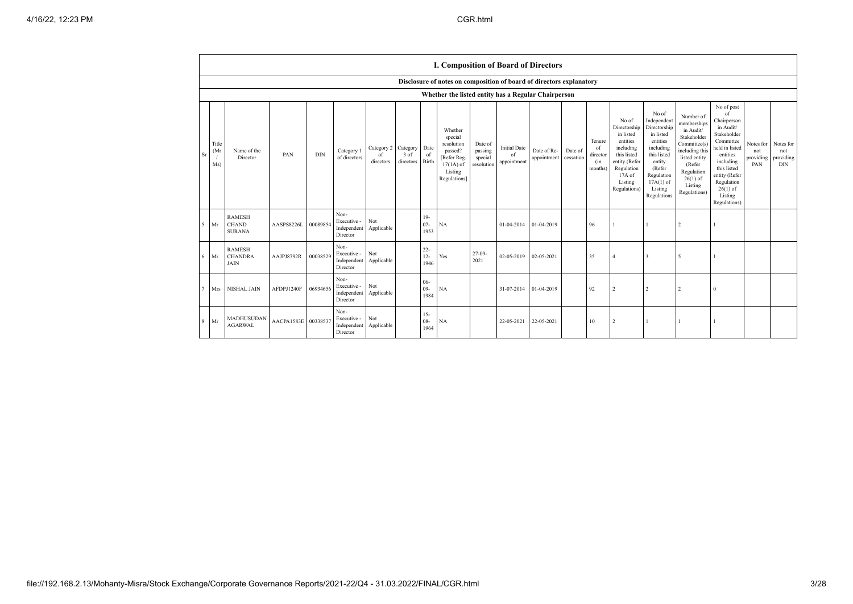|             |                     |                                                     |                     |            |                                                |                                          |                               |                          | I. Composition of Board of Directors                                                                 |                                             |                                          |                            |                      |                                            |                                                                                                                                                |                                                                                                                                                                      |                                                                                                                                                                          |                                                                                                                                                                                                            |                                      |                                             |
|-------------|---------------------|-----------------------------------------------------|---------------------|------------|------------------------------------------------|------------------------------------------|-------------------------------|--------------------------|------------------------------------------------------------------------------------------------------|---------------------------------------------|------------------------------------------|----------------------------|----------------------|--------------------------------------------|------------------------------------------------------------------------------------------------------------------------------------------------|----------------------------------------------------------------------------------------------------------------------------------------------------------------------|--------------------------------------------------------------------------------------------------------------------------------------------------------------------------|------------------------------------------------------------------------------------------------------------------------------------------------------------------------------------------------------------|--------------------------------------|---------------------------------------------|
|             |                     |                                                     |                     |            |                                                |                                          |                               |                          | Disclosure of notes on composition of board of directors explanatory                                 |                                             |                                          |                            |                      |                                            |                                                                                                                                                |                                                                                                                                                                      |                                                                                                                                                                          |                                                                                                                                                                                                            |                                      |                                             |
|             |                     | Whether the listed entity has a Regular Chairperson |                     |            |                                                |                                          |                               |                          |                                                                                                      |                                             |                                          |                            |                      |                                            |                                                                                                                                                |                                                                                                                                                                      |                                                                                                                                                                          |                                                                                                                                                                                                            |                                      |                                             |
| Sr          | Title<br>(Mr<br>Ms) | Name of the<br>Director                             | PAN                 | <b>DIN</b> | Category 1<br>of directors                     | Category 2<br><sup>of</sup><br>directors | Category<br>3 of<br>directors | Date<br>of<br>Birth      | Whether<br>special<br>resolution<br>passed?<br>[Refer Reg.<br>$17(1A)$ of<br>Listing<br>Regulations] | Date of<br>passing<br>special<br>resolution | <b>Initial Date</b><br>of<br>appointment | Date of Re-<br>appointment | Date of<br>cessation | Tenure<br>of<br>director<br>(in<br>months) | No of<br>Directorship<br>in listed<br>entities<br>including<br>this listed<br>entity (Refer<br>Regulation<br>17A of<br>Listing<br>Regulations) | No of<br>Independent<br>Directorship<br>in listed<br>entities<br>including<br>this listed<br>entity<br>(Refer<br>Regulation<br>$17A(1)$ of<br>Listing<br>Regulations | Number of<br>memberships<br>in Audit/<br>Stakeholder<br>Committee(s)<br>including this<br>listed entity<br>(Refer<br>Regulation<br>$26(1)$ of<br>Listing<br>Regulations) | No of post<br>of<br>Chairperson<br>in Audit/<br>Stakeholder<br>Committee<br>held in listed<br>entities<br>including<br>this listed<br>entity (Refer<br>Regulation<br>$26(1)$ of<br>Listing<br>Regulations) | Notes for<br>not<br>providing<br>PAN | Notes for<br>not<br>providing<br><b>DIN</b> |
| $5^{\circ}$ | Mr                  | <b>RAMESH</b><br><b>CHAND</b><br><b>SURANA</b>      | AASPS8226L          | 00089854   | Non-<br>Executive -<br>Independent<br>Director | Not<br>Applicable                        |                               | $19-$<br>$07 -$<br>1953  | <b>NA</b>                                                                                            |                                             | 01-04-2014                               | 01-04-2019                 |                      | 96                                         |                                                                                                                                                |                                                                                                                                                                      | $\mathfrak{D}$                                                                                                                                                           |                                                                                                                                                                                                            |                                      |                                             |
| 6           | Mr                  | <b>RAMESH</b><br><b>CHANDRA</b><br><b>JAIN</b>      | AAJPJ8792R          | 00038529   | Non-<br>Executive -<br>Independent<br>Director | Not<br>Applicable                        |                               | $22 -$<br>$12 -$<br>1946 | Yes                                                                                                  | $27-09-$<br>2021                            | 02-05-2019                               | 02-05-2021                 |                      | 35                                         |                                                                                                                                                | 3                                                                                                                                                                    | -5                                                                                                                                                                       |                                                                                                                                                                                                            |                                      |                                             |
| $\tau$      | Mrs                 | <b>NISHAL JAIN</b>                                  | AFDPJ1240F          | 06934656   | Non-<br>Executive -<br>Independent<br>Director | Not<br>Applicable                        |                               | $06 -$<br>$09 -$<br>1984 | <b>NA</b>                                                                                            |                                             | 31-07-2014                               | 01-04-2019                 |                      | 92                                         |                                                                                                                                                | $\overline{\mathbf{c}}$                                                                                                                                              | $\mathcal{L}$                                                                                                                                                            | $\Omega$                                                                                                                                                                                                   |                                      |                                             |
| 8           | Mr                  | MADHUSUDAN<br><b>AGARWAL</b>                        | AACPA1583E 00338537 |            | Non-<br>Executive -<br>Independent<br>Director | Not<br>Applicable                        |                               | $15 -$<br>$08 -$<br>1964 | NA                                                                                                   |                                             | 22-05-2021                               | 22-05-2021                 |                      | 10                                         |                                                                                                                                                |                                                                                                                                                                      |                                                                                                                                                                          |                                                                                                                                                                                                            |                                      |                                             |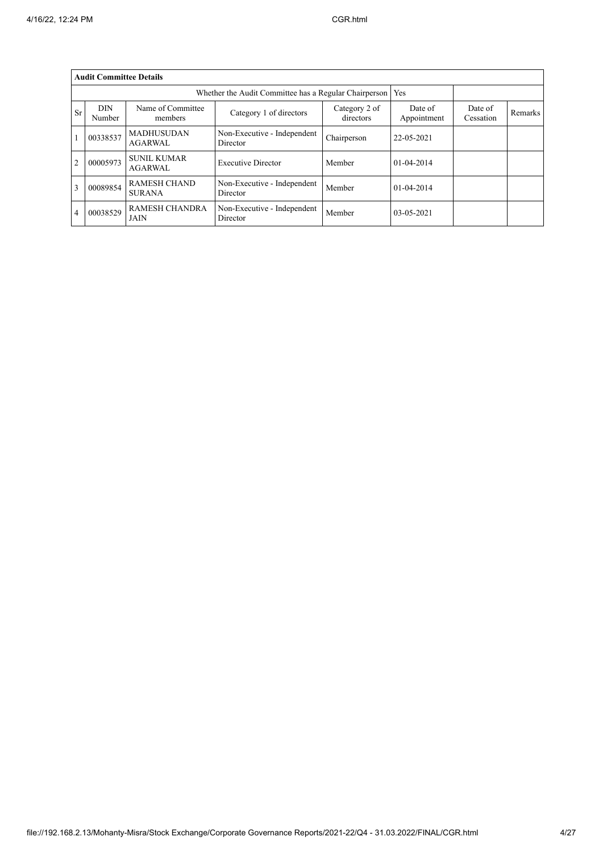|                | <b>Audit Committee Details</b> |                                      |                                                       |                            |                        |                      |         |
|----------------|--------------------------------|--------------------------------------|-------------------------------------------------------|----------------------------|------------------------|----------------------|---------|
|                |                                |                                      | Whether the Audit Committee has a Regular Chairperson |                            | Yes                    |                      |         |
| Sr             | <b>DIN</b><br>Number           | Name of Committee<br>members         | Category 1 of directors                               | Category 2 of<br>directors | Date of<br>Appointment | Date of<br>Cessation | Remarks |
|                | 00338537                       | <b>MADHUSUDAN</b><br><b>AGARWAL</b>  | Non-Executive - Independent<br>Director               | Chairperson                | 22-05-2021             |                      |         |
| $\overline{2}$ | 00005973                       | <b>SUNIL KUMAR</b><br><b>AGARWAL</b> | <b>Executive Director</b>                             | Member                     | 01-04-2014             |                      |         |
| 3              | 00089854                       | <b>RAMESH CHAND</b><br><b>SURANA</b> | Non-Executive - Independent<br>Director               | Member                     | 01-04-2014             |                      |         |
| $\overline{4}$ | 00038529                       | <b>RAMESH CHANDRA</b><br><b>JAIN</b> | Non-Executive - Independent<br>Director               | Member                     | 03-05-2021             |                      |         |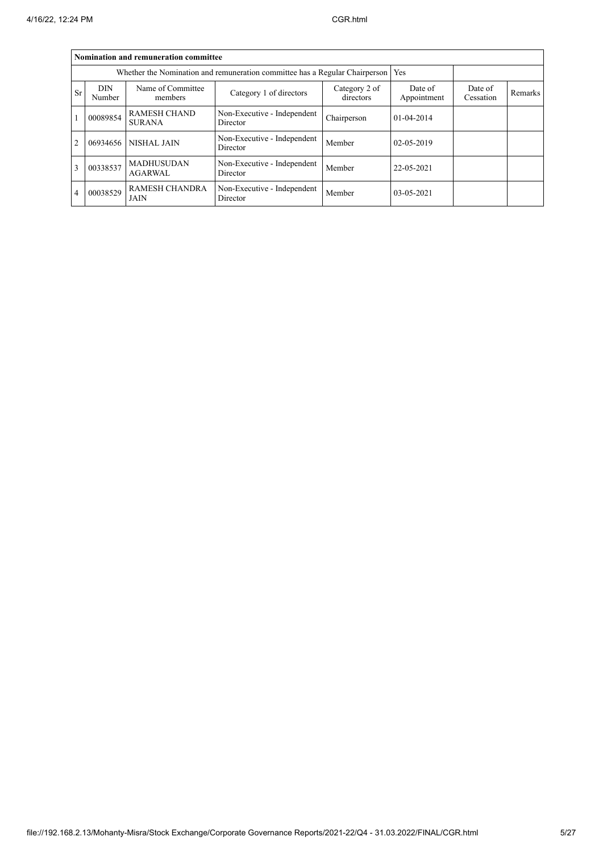|                | Nomination and remuneration committee                                       |                                      |                                         |                            |                        |                      |         |  |  |  |  |  |  |
|----------------|-----------------------------------------------------------------------------|--------------------------------------|-----------------------------------------|----------------------------|------------------------|----------------------|---------|--|--|--|--|--|--|
|                | Whether the Nomination and remuneration committee has a Regular Chairperson |                                      |                                         |                            |                        |                      |         |  |  |  |  |  |  |
| <b>Sr</b>      | <b>DIN</b><br>Number                                                        | Name of Committee<br>members         | Category 1 of directors                 | Category 2 of<br>directors | Date of<br>Appointment | Date of<br>Cessation | Remarks |  |  |  |  |  |  |
|                | 00089854                                                                    | <b>RAMESH CHAND</b><br><b>SURANA</b> | Non-Executive - Independent<br>Director | Chairperson                | 01-04-2014             |                      |         |  |  |  |  |  |  |
| $\overline{2}$ | 06934656                                                                    | <b>NISHAL JAIN</b>                   | Non-Executive - Independent<br>Director | Member                     | 02-05-2019             |                      |         |  |  |  |  |  |  |
| 3              | 00338537                                                                    | <b>MADHUSUDAN</b><br><b>AGARWAL</b>  | Non-Executive - Independent<br>Director | Member                     | 22-05-2021             |                      |         |  |  |  |  |  |  |
| $\overline{4}$ | 00038529                                                                    | RAMESH CHANDRA<br>JAIN               | Non-Executive - Independent<br>Director | Member                     | 03-05-2021             |                      |         |  |  |  |  |  |  |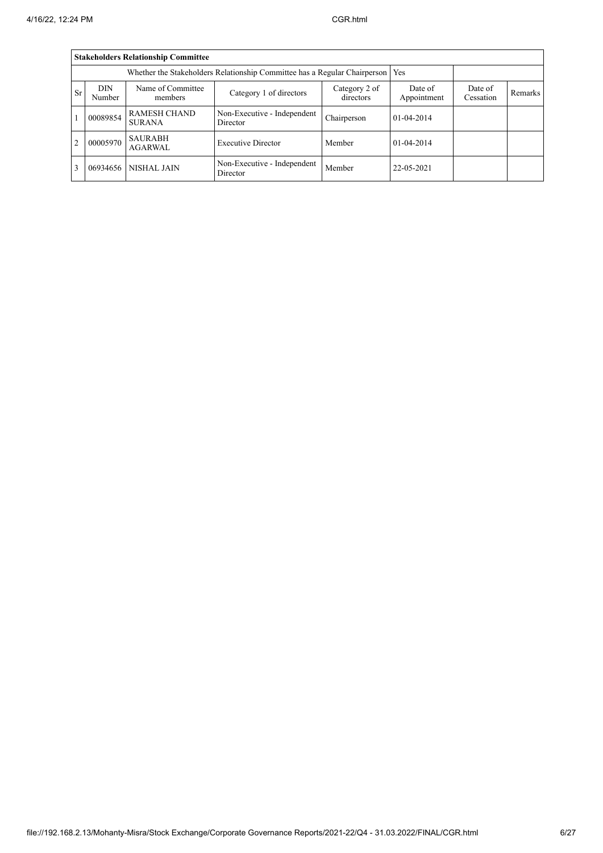|                | <b>Stakeholders Relationship Committee</b> |                                      |                                                                                 |                            |                        |                      |         |  |  |  |  |  |  |  |
|----------------|--------------------------------------------|--------------------------------------|---------------------------------------------------------------------------------|----------------------------|------------------------|----------------------|---------|--|--|--|--|--|--|--|
|                |                                            |                                      | Whether the Stakeholders Relationship Committee has a Regular Chairperson   Yes |                            |                        |                      |         |  |  |  |  |  |  |  |
| <b>Sr</b>      | <b>DIN</b><br>Number                       | Name of Committee<br>members         | Category 1 of directors                                                         | Category 2 of<br>directors | Date of<br>Appointment | Date of<br>Cessation | Remarks |  |  |  |  |  |  |  |
|                | 00089854                                   | <b>RAMESH CHAND</b><br><b>SURANA</b> | Non-Executive - Independent<br>Director                                         | Chairperson                | $01-04-2014$           |                      |         |  |  |  |  |  |  |  |
| $\overline{2}$ | 00005970                                   | <b>SAURABH</b><br><b>AGARWAL</b>     | <b>Executive Director</b>                                                       | Member                     | $01 - 04 - 2014$       |                      |         |  |  |  |  |  |  |  |
| 3              | 06934656                                   | NISHAL JAIN                          | Non-Executive - Independent<br>Director                                         | Member                     | 22-05-2021             |                      |         |  |  |  |  |  |  |  |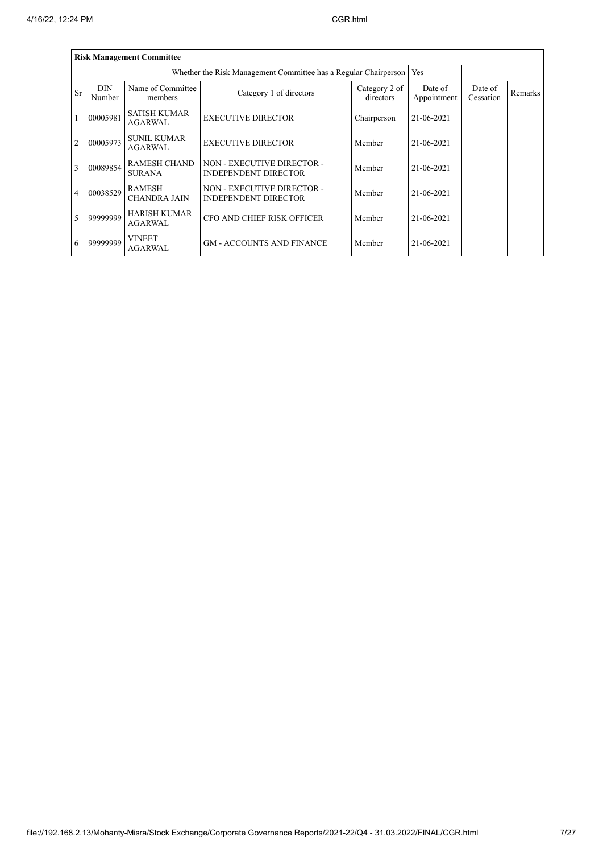|                |                      | <b>Risk Management Committee</b>      |                                                                 |                        |                      |                |  |
|----------------|----------------------|---------------------------------------|-----------------------------------------------------------------|------------------------|----------------------|----------------|--|
|                |                      |                                       | Whether the Risk Management Committee has a Regular Chairperson |                        | Yes                  |                |  |
| Sr             | <b>DIN</b><br>Number | Name of Committee<br>members          | Category 1 of directors                                         | Date of<br>Appointment | Date of<br>Cessation | <b>Remarks</b> |  |
|                | 00005981             | <b>SATISH KUMAR</b><br>AGARWAL.       | <b>EXECUTIVE DIRECTOR</b>                                       | Chairperson            | 21-06-2021           |                |  |
| $\overline{2}$ | 00005973             | <b>SUNIL KUMAR</b><br><b>AGARWAL</b>  | <b>EXECUTIVE DIRECTOR</b>                                       | Member                 | 21-06-2021           |                |  |
| 3              | 00089854             | <b>RAMESH CHAND</b><br><b>SURANA</b>  | NON - EXECUTIVE DIRECTOR -<br><b>INDEPENDENT DIRECTOR</b>       | Member                 | 21-06-2021           |                |  |
| $\overline{4}$ | 00038529             | <b>RAMESH</b><br><b>CHANDRA JAIN</b>  | NON - EXECUTIVE DIRECTOR -<br><b>INDEPENDENT DIRECTOR</b>       | Member                 | 21-06-2021           |                |  |
| 5              | 99999999             | <b>HARISH KUMAR</b><br><b>AGARWAL</b> | <b>CFO AND CHIEF RISK OFFICER</b>                               | Member                 | 21-06-2021           |                |  |
| 6              | 99999999             | VINEET<br><b>AGARWAL</b>              | <b>GM - ACCOUNTS AND FINANCE</b>                                | Member                 | 21-06-2021           |                |  |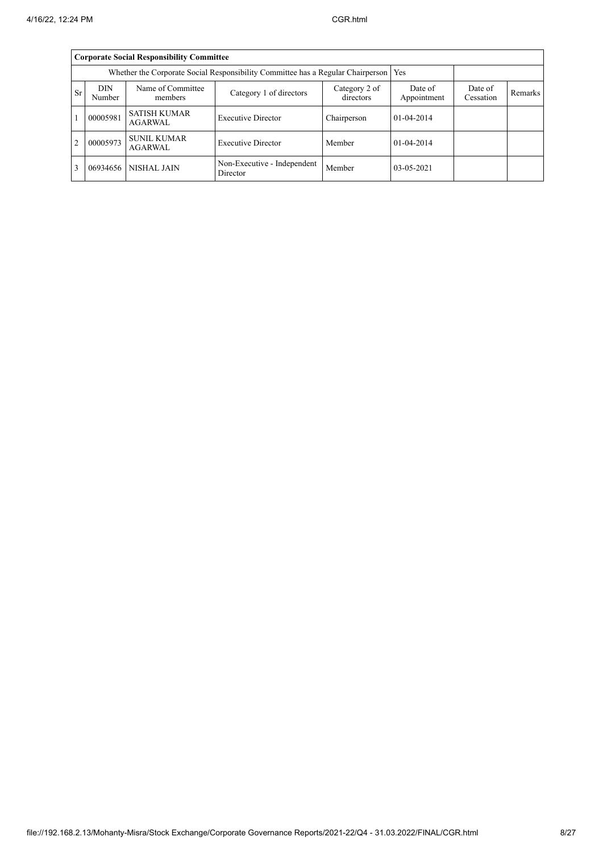|                | <b>Corporate Social Responsibility Committee</b> |                                       |                                                                                 |             |                  |  |  |  |  |  |  |  |  |  |
|----------------|--------------------------------------------------|---------------------------------------|---------------------------------------------------------------------------------|-------------|------------------|--|--|--|--|--|--|--|--|--|
|                |                                                  |                                       | Whether the Corporate Social Responsibility Committee has a Regular Chairperson |             | Yes              |  |  |  |  |  |  |  |  |  |
| <b>Sr</b>      | <b>DIN</b><br>Number                             | Date of<br>Cessation                  | Remarks                                                                         |             |                  |  |  |  |  |  |  |  |  |  |
|                | 00005981                                         | <b>SATISH KUMAR</b><br><b>AGARWAL</b> | <b>Executive Director</b>                                                       | Chairperson | $01 - 04 - 2014$ |  |  |  |  |  |  |  |  |  |
| $\overline{2}$ | 00005973                                         | <b>SUNIL KUMAR</b><br><b>AGARWAL</b>  | <b>Executive Director</b>                                                       | Member      | $01-04-2014$     |  |  |  |  |  |  |  |  |  |
| $\overline{3}$ | 06934656                                         |                                       |                                                                                 |             |                  |  |  |  |  |  |  |  |  |  |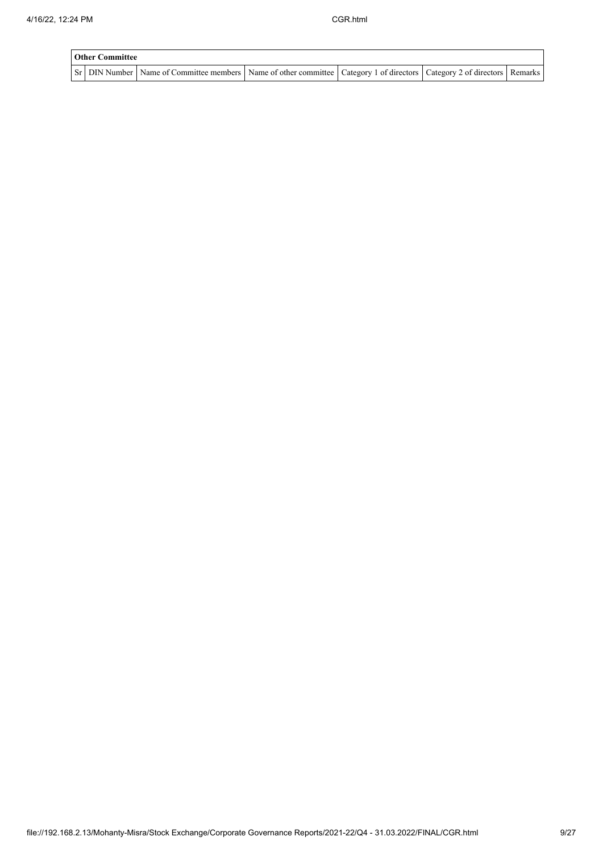| <b>Other Committee</b> |                                                                                                                                     |  |  |
|------------------------|-------------------------------------------------------------------------------------------------------------------------------------|--|--|
|                        | Sr   DIN Number   Name of Committee members   Name of other committee   Category 1 of directors   Category 2 of directors   Remarks |  |  |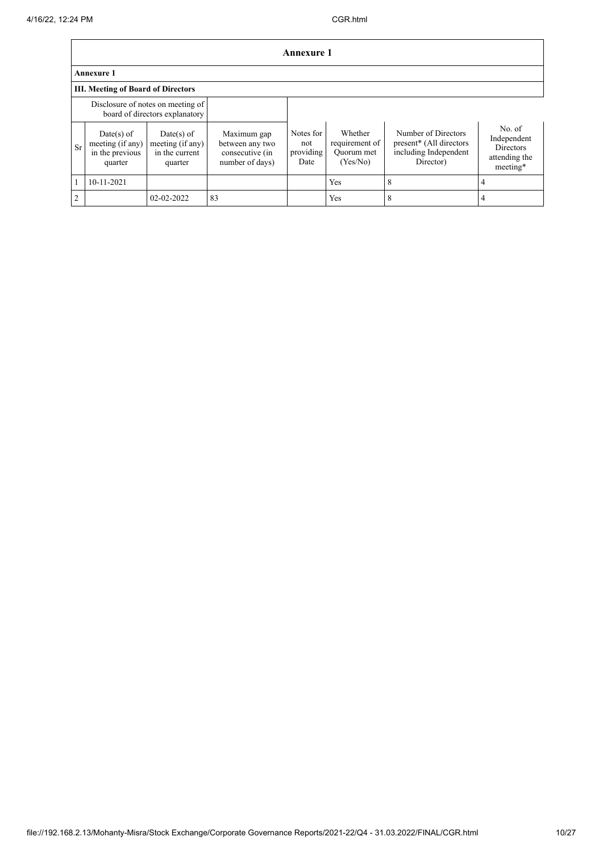|                |                                                                |                                                                     |                                                                      | <b>Annexure 1</b>                     |                                                     |                                                                                      |                                                                        |  |  |  |  |  |  |
|----------------|----------------------------------------------------------------|---------------------------------------------------------------------|----------------------------------------------------------------------|---------------------------------------|-----------------------------------------------------|--------------------------------------------------------------------------------------|------------------------------------------------------------------------|--|--|--|--|--|--|
|                | <b>Annexure 1</b>                                              |                                                                     |                                                                      |                                       |                                                     |                                                                                      |                                                                        |  |  |  |  |  |  |
|                | <b>III. Meeting of Board of Directors</b>                      |                                                                     |                                                                      |                                       |                                                     |                                                                                      |                                                                        |  |  |  |  |  |  |
|                |                                                                | Disclosure of notes on meeting of<br>board of directors explanatory |                                                                      |                                       |                                                     |                                                                                      |                                                                        |  |  |  |  |  |  |
| Sr             | $Date(s)$ of<br>meeting (if any)<br>in the previous<br>quarter | Date(s) of<br>meeting (if any)<br>in the current<br>quarter         | Maximum gap<br>between any two<br>consecutive (in<br>number of days) | Notes for<br>not<br>providing<br>Date | Whether<br>requirement of<br>Quorum met<br>(Yes/No) | Number of Directors<br>present* (All directors<br>including Independent<br>Director) | No. of<br>Independent<br><b>Directors</b><br>attending the<br>meeting* |  |  |  |  |  |  |
|                | 10-11-2021                                                     |                                                                     |                                                                      |                                       | Yes                                                 | 8                                                                                    |                                                                        |  |  |  |  |  |  |
| $\overline{2}$ |                                                                | 02-02-2022                                                          | 83                                                                   |                                       | Yes                                                 | 8                                                                                    |                                                                        |  |  |  |  |  |  |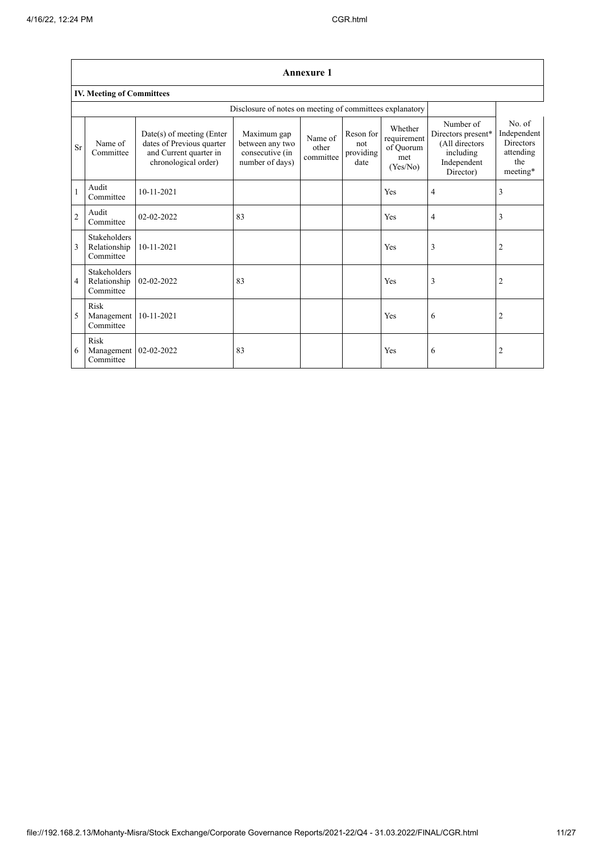|                | <b>Annexure 1</b>                                        |                                                                                                          |                                                                      |                               |                                       |                                                        |                                                                                            |                                                                           |  |  |  |  |  |  |  |
|----------------|----------------------------------------------------------|----------------------------------------------------------------------------------------------------------|----------------------------------------------------------------------|-------------------------------|---------------------------------------|--------------------------------------------------------|--------------------------------------------------------------------------------------------|---------------------------------------------------------------------------|--|--|--|--|--|--|--|
|                | <b>IV. Meeting of Committees</b>                         |                                                                                                          |                                                                      |                               |                                       |                                                        |                                                                                            |                                                                           |  |  |  |  |  |  |  |
|                | Disclosure of notes on meeting of committees explanatory |                                                                                                          |                                                                      |                               |                                       |                                                        |                                                                                            |                                                                           |  |  |  |  |  |  |  |
| Sr             | Name of<br>Committee                                     | Date(s) of meeting (Enter<br>dates of Previous quarter<br>and Current quarter in<br>chronological order) | Maximum gap<br>between any two<br>consecutive (in<br>number of days) | Name of<br>other<br>committee | Reson for<br>not<br>providing<br>date | Whether<br>requirement<br>of Quorum<br>met<br>(Yes/No) | Number of<br>Directors present*<br>(All directors<br>including<br>Independent<br>Director) | No. of<br>Independent<br><b>Directors</b><br>attending<br>the<br>meeting* |  |  |  |  |  |  |  |
|                | Audit<br>Committee                                       | $10 - 11 - 2021$                                                                                         |                                                                      |                               |                                       | Yes                                                    | 4                                                                                          | 3                                                                         |  |  |  |  |  |  |  |
| $\overline{c}$ | Audit<br>Committee                                       | $02 - 02 - 2022$                                                                                         | 83                                                                   |                               |                                       | Yes                                                    | 4                                                                                          | 3                                                                         |  |  |  |  |  |  |  |
| 3              | <b>Stakeholders</b><br>Relationship<br>Committee         | 10-11-2021                                                                                               |                                                                      |                               |                                       | Yes                                                    | 3                                                                                          | $\overline{2}$                                                            |  |  |  |  |  |  |  |
| 4              | Stakeholders<br>Relationship<br>Committee                | 02-02-2022                                                                                               | 83                                                                   |                               |                                       | Yes                                                    | 3                                                                                          | $\overline{2}$                                                            |  |  |  |  |  |  |  |
| 5              | Risk<br>Management<br>Committee                          | 10-11-2021                                                                                               |                                                                      |                               |                                       | Yes                                                    | 6                                                                                          | $\overline{2}$                                                            |  |  |  |  |  |  |  |
| 6              | Risk<br>Management<br>Committee                          | 02-02-2022                                                                                               | 83                                                                   |                               |                                       | Yes                                                    | 6                                                                                          | $\overline{2}$                                                            |  |  |  |  |  |  |  |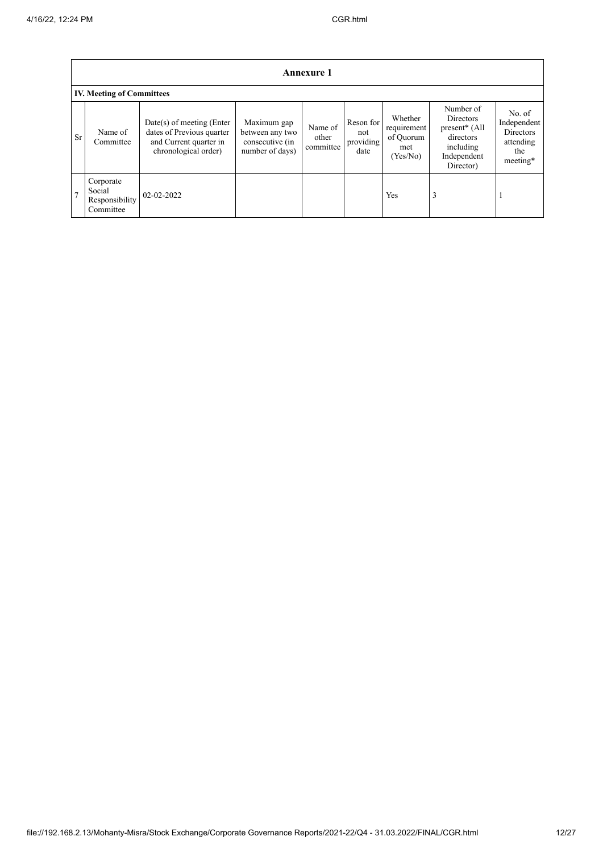|    | <b>Annexure 1</b>                                  |                                                                                                            |                                                                      |                               |                                       |                                                        |                                                                                                           |                                                                           |  |  |  |  |  |  |
|----|----------------------------------------------------|------------------------------------------------------------------------------------------------------------|----------------------------------------------------------------------|-------------------------------|---------------------------------------|--------------------------------------------------------|-----------------------------------------------------------------------------------------------------------|---------------------------------------------------------------------------|--|--|--|--|--|--|
|    | <b>IV. Meeting of Committees</b>                   |                                                                                                            |                                                                      |                               |                                       |                                                        |                                                                                                           |                                                                           |  |  |  |  |  |  |
| Sr | Name of<br>Committee                               | $Date(s)$ of meeting (Enter<br>dates of Previous quarter<br>and Current quarter in<br>chronological order) | Maximum gap<br>between any two<br>consecutive (in<br>number of days) | Name of<br>other<br>committee | Reson for<br>not<br>providing<br>date | Whether<br>requirement<br>of Quorum<br>met<br>(Yes/No) | Number of<br>Directors<br>present <sup>*</sup> (All<br>directors<br>including<br>Independent<br>Director) | No. of<br>Independent<br><b>Directors</b><br>attending<br>the<br>meeting* |  |  |  |  |  |  |
|    | Corporate<br>Social<br>Responsibility<br>Committee | 02-02-2022                                                                                                 |                                                                      |                               |                                       | Yes                                                    | 3                                                                                                         |                                                                           |  |  |  |  |  |  |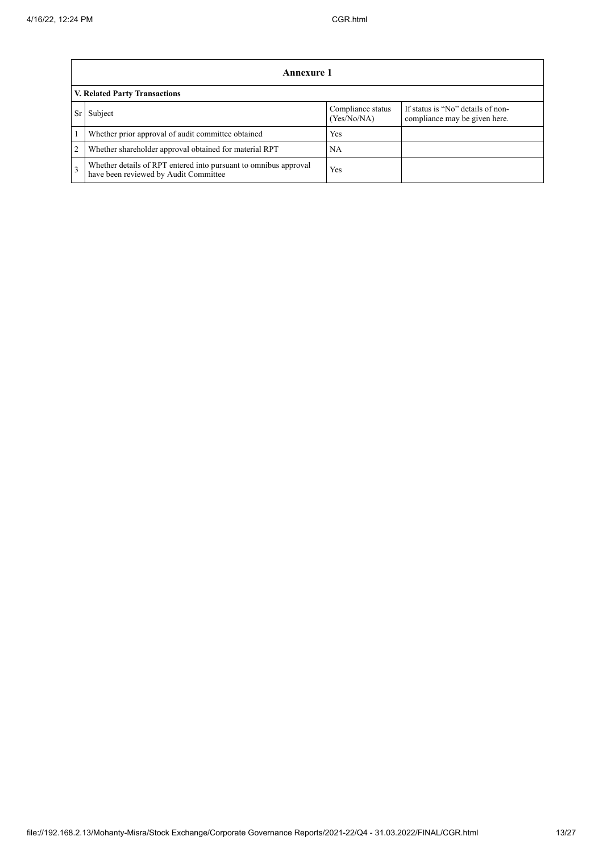|   | Annexure 1                                                                                                |                                  |                                                                    |  |  |  |
|---|-----------------------------------------------------------------------------------------------------------|----------------------------------|--------------------------------------------------------------------|--|--|--|
|   | <b>V. Related Party Transactions</b>                                                                      |                                  |                                                                    |  |  |  |
|   | Subject                                                                                                   | Compliance status<br>(Yes/No/NA) | If status is "No" details of non-<br>compliance may be given here. |  |  |  |
|   | Whether prior approval of audit committee obtained                                                        | Yes                              |                                                                    |  |  |  |
| 2 | Whether shareholder approval obtained for material RPT                                                    | NA                               |                                                                    |  |  |  |
| 3 | Whether details of RPT entered into pursuant to omnibus approval<br>have been reviewed by Audit Committee | Yes                              |                                                                    |  |  |  |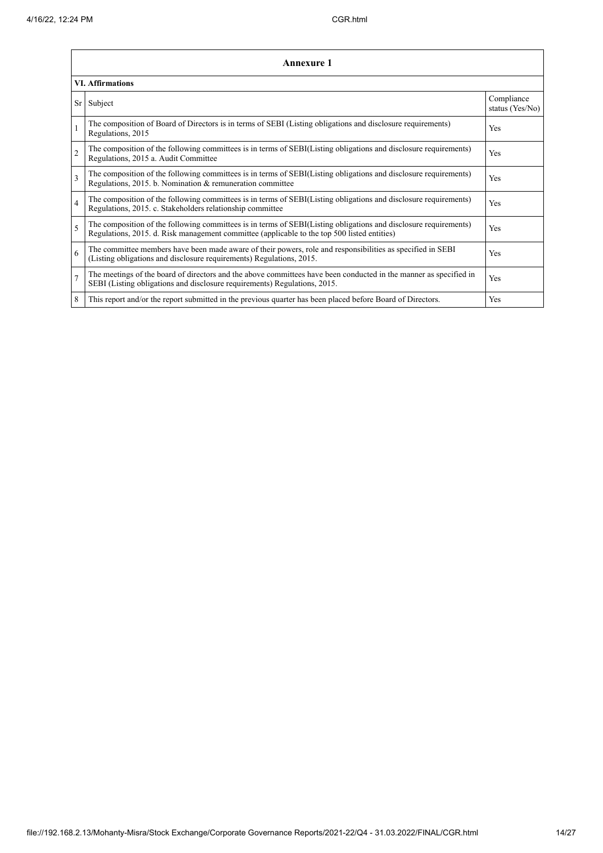|                | <b>Annexure 1</b>                                                                                                                                                                                               |                               |  |  |  |  |
|----------------|-----------------------------------------------------------------------------------------------------------------------------------------------------------------------------------------------------------------|-------------------------------|--|--|--|--|
|                | <b>VI. Affirmations</b>                                                                                                                                                                                         |                               |  |  |  |  |
|                | Sr<br>Subject                                                                                                                                                                                                   | Compliance<br>status (Yes/No) |  |  |  |  |
| $\mathbf{1}$   | The composition of Board of Directors is in terms of SEBI (Listing obligations and disclosure requirements)<br>Regulations, 2015                                                                                | Yes                           |  |  |  |  |
| $\overline{2}$ | The composition of the following committees is in terms of SEBI(Listing obligations and disclosure requirements)<br>Regulations, 2015 a. Audit Committee                                                        | Yes                           |  |  |  |  |
| 3              | The composition of the following committees is in terms of SEBI(Listing obligations and disclosure requirements)<br>Regulations, 2015. b. Nomination & remuneration committee                                   | Yes                           |  |  |  |  |
| $\overline{4}$ | The composition of the following committees is in terms of SEBI(Listing obligations and disclosure requirements)<br>Regulations, 2015. c. Stakeholders relationship committee                                   | Yes                           |  |  |  |  |
| 5              | The composition of the following committees is in terms of SEBI(Listing obligations and disclosure requirements)<br>Regulations, 2015. d. Risk management committee (applicable to the top 500 listed entities) | Yes                           |  |  |  |  |
| 6              | The committee members have been made aware of their powers, role and responsibilities as specified in SEBI<br>(Listing obligations and disclosure requirements) Regulations, 2015.                              | Yes                           |  |  |  |  |
| $\overline{7}$ | The meetings of the board of directors and the above committees have been conducted in the manner as specified in<br>SEBI (Listing obligations and disclosure requirements) Regulations, 2015.                  | Yes                           |  |  |  |  |
| 8              | This report and/or the report submitted in the previous quarter has been placed before Board of Directors.                                                                                                      | Yes                           |  |  |  |  |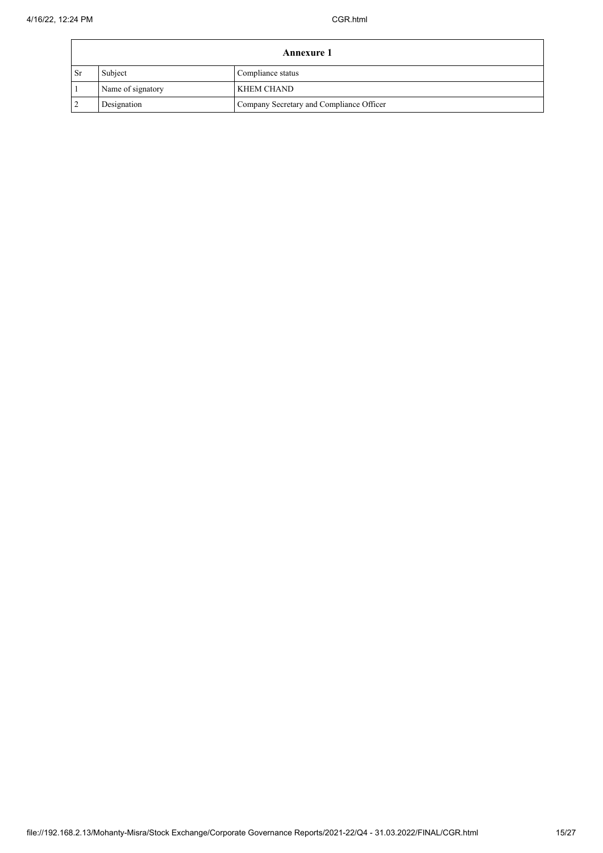|           | <b>Annexure 1</b> |                                          |  |  |
|-----------|-------------------|------------------------------------------|--|--|
| <b>Sr</b> | Subject           | Compliance status                        |  |  |
|           | Name of signatory | <b>KHEM CHAND</b>                        |  |  |
|           | Designation       | Company Secretary and Compliance Officer |  |  |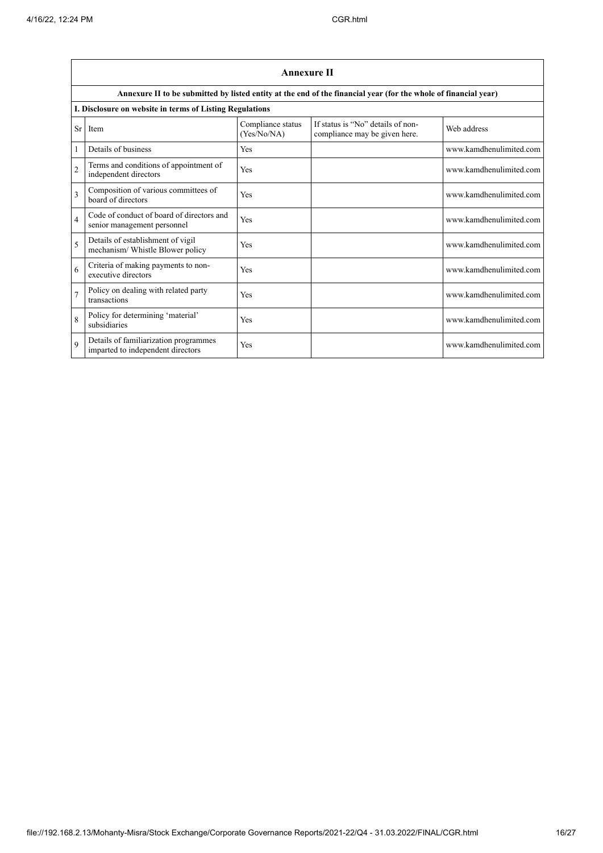|                          | <b>Annexure II</b>                                                         |                                  |                                                                                                                 |                         |  |  |
|--------------------------|----------------------------------------------------------------------------|----------------------------------|-----------------------------------------------------------------------------------------------------------------|-------------------------|--|--|
|                          |                                                                            |                                  | Annexure II to be submitted by listed entity at the end of the financial year (for the whole of financial year) |                         |  |  |
|                          | I. Disclosure on website in terms of Listing Regulations                   |                                  |                                                                                                                 |                         |  |  |
| Sr                       | Item                                                                       | Compliance status<br>(Yes/No/NA) | If status is "No" details of non-<br>compliance may be given here.                                              | Web address             |  |  |
|                          | Details of business                                                        | Yes                              |                                                                                                                 | www.kamdhenulimited.com |  |  |
| $\overline{2}$           | Terms and conditions of appointment of<br>independent directors            | Yes                              |                                                                                                                 | www.kamdhenulimited.com |  |  |
| 3                        | Composition of various committees of<br>board of directors                 | Yes                              |                                                                                                                 | www.kamdhenulimited.com |  |  |
| $\overline{\mathbf{4}}$  | Code of conduct of board of directors and<br>senior management personnel   | Yes                              |                                                                                                                 | www.kamdhenulimited.com |  |  |
| $\overline{\phantom{0}}$ | Details of establishment of vigil<br>mechanism/ Whistle Blower policy      | Yes                              |                                                                                                                 | www.kamdhenulimited.com |  |  |
| 6                        | Criteria of making payments to non-<br>executive directors                 | Yes                              |                                                                                                                 | www.kamdhenulimited.com |  |  |
| $\overline{7}$           | Policy on dealing with related party<br>transactions                       | Yes                              |                                                                                                                 | www.kamdhenulimited.com |  |  |
| $\mathbf{8}$             | Policy for determining 'material'<br>subsidiaries                          | Yes                              |                                                                                                                 | www.kamdhenulimited.com |  |  |
| $\mathbf Q$              | Details of familiarization programmes<br>imparted to independent directors | Yes                              |                                                                                                                 | www.kamdhenulimited.com |  |  |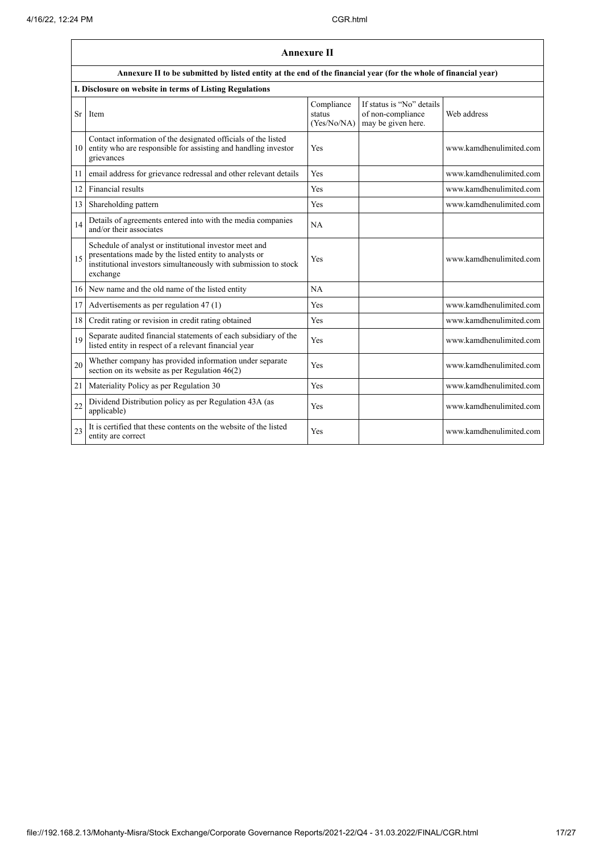|    |                                                                                                                                                                                                 | <b>Annexure II</b>                  |                                                                      |                         |
|----|-------------------------------------------------------------------------------------------------------------------------------------------------------------------------------------------------|-------------------------------------|----------------------------------------------------------------------|-------------------------|
|    | Annexure II to be submitted by listed entity at the end of the financial year (for the whole of financial year)                                                                                 |                                     |                                                                      |                         |
|    | I. Disclosure on website in terms of Listing Regulations                                                                                                                                        |                                     |                                                                      |                         |
| Sr | Item                                                                                                                                                                                            | Compliance<br>status<br>(Yes/No/NA) | If status is "No" details<br>of non-compliance<br>may be given here. | Web address             |
| 10 | Contact information of the designated officials of the listed<br>entity who are responsible for assisting and handling investor<br>grievances                                                   | Yes                                 |                                                                      | www.kamdhenulimited.com |
| 11 | email address for grievance redressal and other relevant details                                                                                                                                | Yes                                 |                                                                      | www.kamdhenulimited.com |
| 12 | Financial results                                                                                                                                                                               | Yes                                 |                                                                      | www.kamdhenulimited.com |
| 13 | Shareholding pattern                                                                                                                                                                            | Yes                                 |                                                                      | www.kamdhenulimited.com |
| 14 | Details of agreements entered into with the media companies<br>and/or their associates                                                                                                          | NA                                  |                                                                      |                         |
| 15 | Schedule of analyst or institutional investor meet and<br>presentations made by the listed entity to analysts or<br>institutional investors simultaneously with submission to stock<br>exchange | Yes                                 |                                                                      | www.kamdhenulimited.com |
| 16 | New name and the old name of the listed entity                                                                                                                                                  | NA                                  |                                                                      |                         |
| 17 | Advertisements as per regulation 47 (1)                                                                                                                                                         | Yes                                 |                                                                      | www.kamdhenulimited.com |
| 18 | Credit rating or revision in credit rating obtained                                                                                                                                             | Yes                                 |                                                                      | www.kamdhenulimited.com |
| 19 | Separate audited financial statements of each subsidiary of the<br>listed entity in respect of a relevant financial year                                                                        | Yes                                 |                                                                      | www.kamdhenulimited.com |
| 20 | Whether company has provided information under separate<br>section on its website as per Regulation $46(2)$                                                                                     | Yes                                 |                                                                      | www.kamdhenulimited.com |
| 21 | Materiality Policy as per Regulation 30                                                                                                                                                         | Yes                                 |                                                                      | www.kamdhenulimited.com |
| 22 | Dividend Distribution policy as per Regulation 43A (as<br>applicable)                                                                                                                           | Yes                                 |                                                                      | www.kamdhenulimited.com |
| 23 | It is certified that these contents on the website of the listed<br>entity are correct                                                                                                          | Yes                                 |                                                                      | www.kamdhenulimited.com |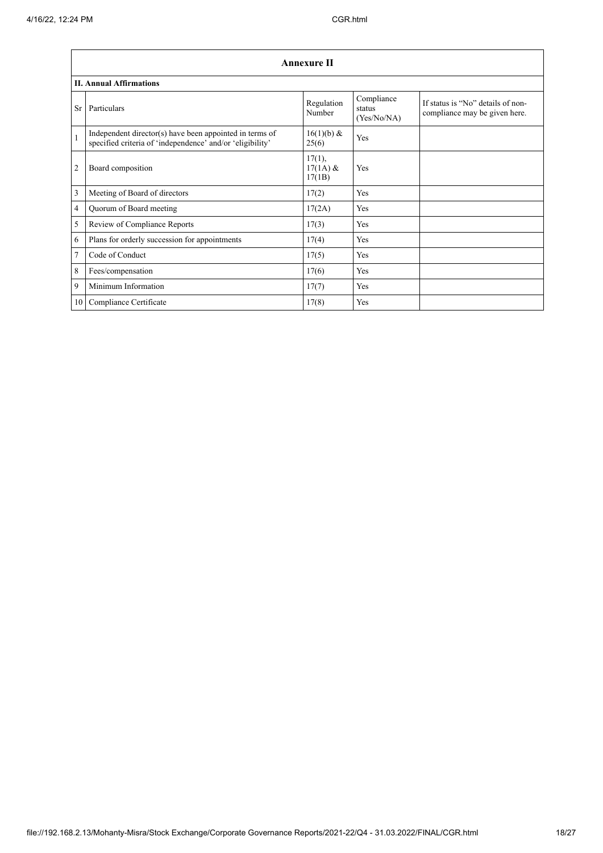|              | <b>Annexure II</b>                                                                                                   |                                |                                     |                                                                    |  |
|--------------|----------------------------------------------------------------------------------------------------------------------|--------------------------------|-------------------------------------|--------------------------------------------------------------------|--|
|              | <b>II. Annual Affirmations</b>                                                                                       |                                |                                     |                                                                    |  |
| Sr           | Particulars                                                                                                          | Regulation<br>Number           | Compliance<br>status<br>(Yes/No/NA) | If status is "No" details of non-<br>compliance may be given here. |  |
| $\mathbf{1}$ | Independent director(s) have been appointed in terms of<br>specified criteria of 'independence' and/or 'eligibility' | $16(1)(b)$ &<br>25(6)          | Yes                                 |                                                                    |  |
| 2            | Board composition                                                                                                    | 17(1),<br>$17(1A)$ &<br>17(1B) | Yes                                 |                                                                    |  |
| 3            | Meeting of Board of directors                                                                                        | 17(2)                          | Yes                                 |                                                                    |  |
| 4            | Quorum of Board meeting                                                                                              | 17(2A)                         | Yes                                 |                                                                    |  |
| 5            | Review of Compliance Reports                                                                                         | 17(3)                          | Yes                                 |                                                                    |  |
| 6            | Plans for orderly succession for appointments                                                                        | 17(4)                          | Yes                                 |                                                                    |  |
| 7            | Code of Conduct                                                                                                      | 17(5)                          | Yes                                 |                                                                    |  |
| 8            | Fees/compensation                                                                                                    | 17(6)                          | Yes                                 |                                                                    |  |
| 9            | Minimum Information                                                                                                  | 17(7)                          | Yes                                 |                                                                    |  |
| 10           | Compliance Certificate                                                                                               | 17(8)                          | Yes                                 |                                                                    |  |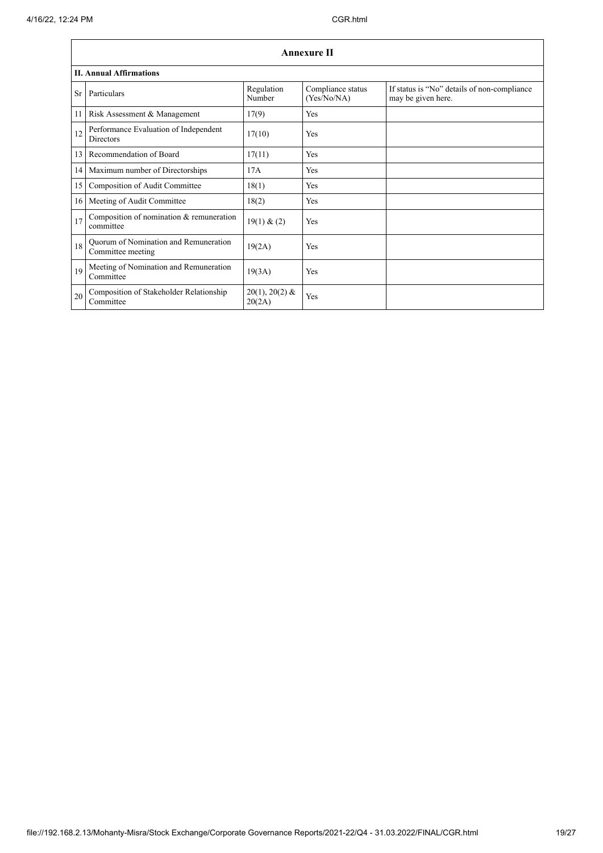|    | <b>Annexure II</b>                                         |                            |                                  |                                                                   |  |
|----|------------------------------------------------------------|----------------------------|----------------------------------|-------------------------------------------------------------------|--|
|    | <b>II. Annual Affirmations</b>                             |                            |                                  |                                                                   |  |
| Sr | Particulars                                                | Regulation<br>Number       | Compliance status<br>(Yes/No/NA) | If status is "No" details of non-compliance<br>may be given here. |  |
| 11 | Risk Assessment & Management                               | 17(9)                      | Yes                              |                                                                   |  |
| 12 | Performance Evaluation of Independent<br><b>Directors</b>  | 17(10)                     | Yes                              |                                                                   |  |
| 13 | Recommendation of Board                                    | 17(11)                     | <b>Yes</b>                       |                                                                   |  |
| 14 | Maximum number of Directorships                            | 17A                        | <b>Yes</b>                       |                                                                   |  |
| 15 | Composition of Audit Committee                             | 18(1)                      | <b>Yes</b>                       |                                                                   |  |
| 16 | Meeting of Audit Committee                                 | 18(2)                      | Yes                              |                                                                   |  |
| 17 | Composition of nomination & remuneration<br>committee      | 19(1) & (2)                | Yes                              |                                                                   |  |
| 18 | Quorum of Nomination and Remuneration<br>Committee meeting | 19(2A)                     | Yes                              |                                                                   |  |
| 19 | Meeting of Nomination and Remuneration<br>Committee        | 19(3A)                     | Yes                              |                                                                   |  |
| 20 | Composition of Stakeholder Relationship<br>Committee       | $20(1), 20(2)$ &<br>20(2A) | Yes                              |                                                                   |  |

 $\overline{\phantom{a}}$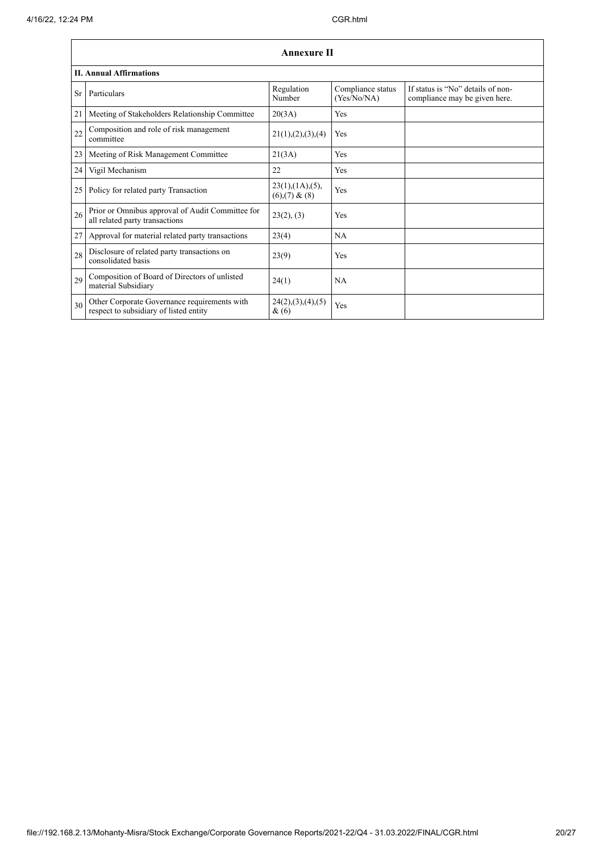|    | <b>Annexure II</b>                                                                     |                                                     |                                  |                                                                    |  |
|----|----------------------------------------------------------------------------------------|-----------------------------------------------------|----------------------------------|--------------------------------------------------------------------|--|
|    | <b>II. Annual Affirmations</b>                                                         |                                                     |                                  |                                                                    |  |
| Sr | Particulars                                                                            | Regulation<br>Number                                | Compliance status<br>(Yes/No/NA) | If status is "No" details of non-<br>compliance may be given here. |  |
| 21 | Meeting of Stakeholders Relationship Committee                                         | 20(3A)                                              | Yes                              |                                                                    |  |
| 22 | Composition and role of risk management<br>committee                                   | 21(1), (2), (3), (4)                                | Yes                              |                                                                    |  |
| 23 | Meeting of Risk Management Committee                                                   | 21(3A)                                              | Yes                              |                                                                    |  |
| 24 | Vigil Mechanism                                                                        | 22                                                  | Yes                              |                                                                    |  |
| 25 | Policy for related party Transaction                                                   | $23(1)$ , $(1A)$ , $(5)$ ,<br>$(6)$ , $(7)$ & $(8)$ | Yes                              |                                                                    |  |
| 26 | Prior or Omnibus approval of Audit Committee for<br>all related party transactions     | 23(2), (3)                                          | Yes                              |                                                                    |  |
| 27 | Approval for material related party transactions                                       | 23(4)                                               | NA                               |                                                                    |  |
| 28 | Disclosure of related party transactions on<br>consolidated basis                      | 23(9)                                               | Yes                              |                                                                    |  |
| 29 | Composition of Board of Directors of unlisted<br>material Subsidiary                   | 24(1)                                               | NA                               |                                                                    |  |
| 30 | Other Corporate Governance requirements with<br>respect to subsidiary of listed entity | 24(2),(3),(4),(5)<br>&(6)                           | Yes                              |                                                                    |  |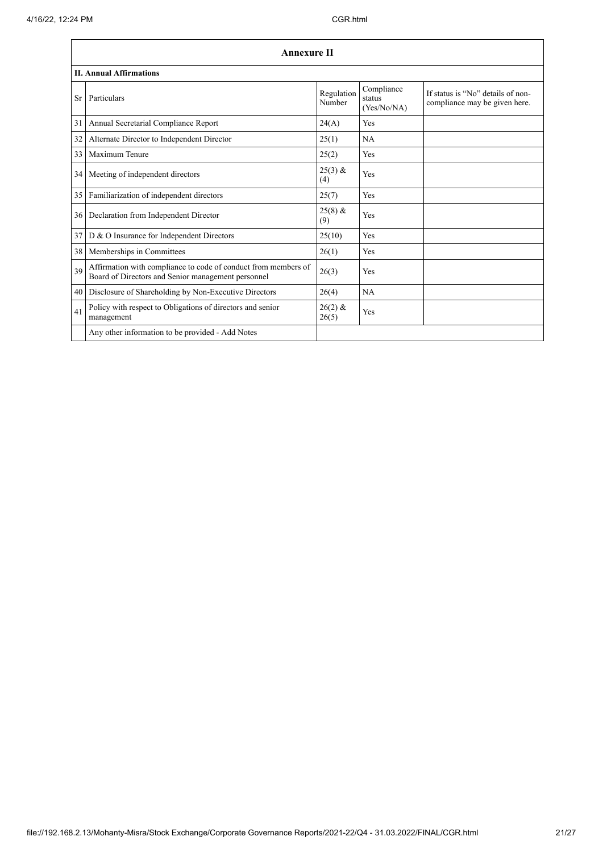'n

|    | <b>Annexure II</b>                                                                                                   |                      |                                     |                                                                    |  |
|----|----------------------------------------------------------------------------------------------------------------------|----------------------|-------------------------------------|--------------------------------------------------------------------|--|
|    | <b>II. Annual Affirmations</b>                                                                                       |                      |                                     |                                                                    |  |
| Sr | Particulars                                                                                                          | Regulation<br>Number | Compliance<br>status<br>(Yes/No/NA) | If status is "No" details of non-<br>compliance may be given here. |  |
| 31 | Annual Secretarial Compliance Report                                                                                 | 24(A)                | Yes                                 |                                                                    |  |
| 32 | Alternate Director to Independent Director                                                                           | 25(1)                | <b>NA</b>                           |                                                                    |  |
| 33 | Maximum Tenure                                                                                                       | 25(2)                | Yes                                 |                                                                    |  |
| 34 | Meeting of independent directors                                                                                     | $25(3)$ &<br>(4)     | Yes                                 |                                                                    |  |
| 35 | Familiarization of independent directors                                                                             | 25(7)                | Yes                                 |                                                                    |  |
| 36 | Declaration from Independent Director                                                                                | $25(8)$ &<br>(9)     | Yes                                 |                                                                    |  |
| 37 | D & O Insurance for Independent Directors                                                                            | 25(10)               | Yes                                 |                                                                    |  |
| 38 | Memberships in Committees                                                                                            | 26(1)                | Yes                                 |                                                                    |  |
| 39 | Affirmation with compliance to code of conduct from members of<br>Board of Directors and Senior management personnel | 26(3)                | Yes                                 |                                                                    |  |
| 40 | Disclosure of Shareholding by Non-Executive Directors                                                                | 26(4)                | NA                                  |                                                                    |  |
| 41 | Policy with respect to Obligations of directors and senior<br>management                                             | $26(2)$ &<br>26(5)   | Yes                                 |                                                                    |  |
|    | Any other information to be provided - Add Notes                                                                     |                      |                                     |                                                                    |  |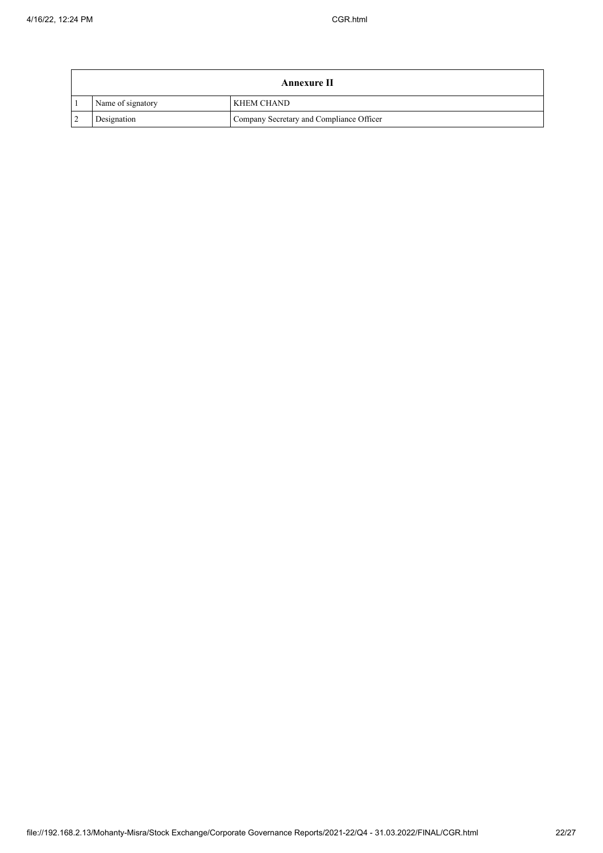| Annexure II       |                                          |  |
|-------------------|------------------------------------------|--|
| Name of signatory | <b>KHEM CHAND</b>                        |  |
| Designation       | Company Secretary and Compliance Officer |  |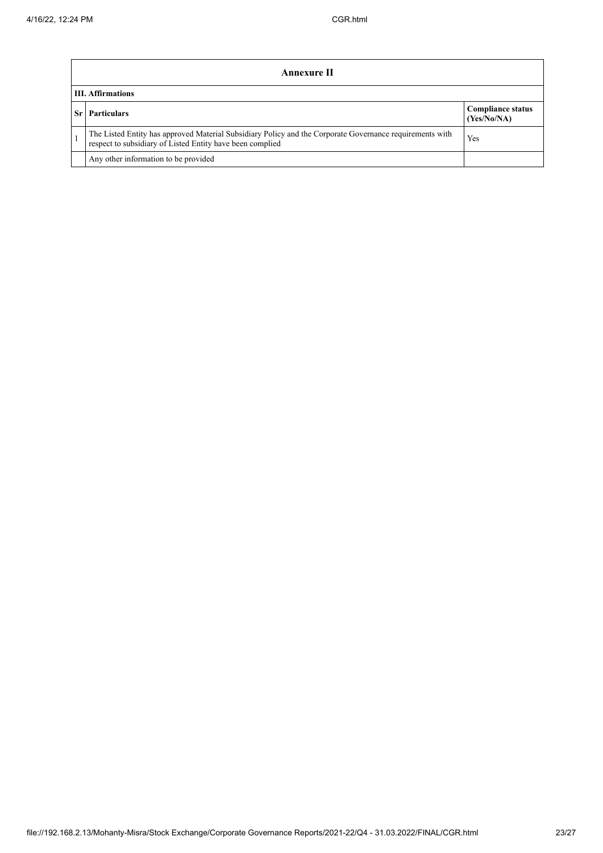|    | <b>Annexure II</b>                                                                                                                                                    |                                         |  |  |  |  |
|----|-----------------------------------------------------------------------------------------------------------------------------------------------------------------------|-----------------------------------------|--|--|--|--|
|    | <b>III.</b> Affirmations                                                                                                                                              |                                         |  |  |  |  |
| Sr | <b>Particulars</b>                                                                                                                                                    | <b>Compliance status</b><br>(Yes/No/NA) |  |  |  |  |
|    | The Listed Entity has approved Material Subsidiary Policy and the Corporate Governance requirements with<br>respect to subsidiary of Listed Entity have been complied | Yes                                     |  |  |  |  |
|    | Any other information to be provided                                                                                                                                  |                                         |  |  |  |  |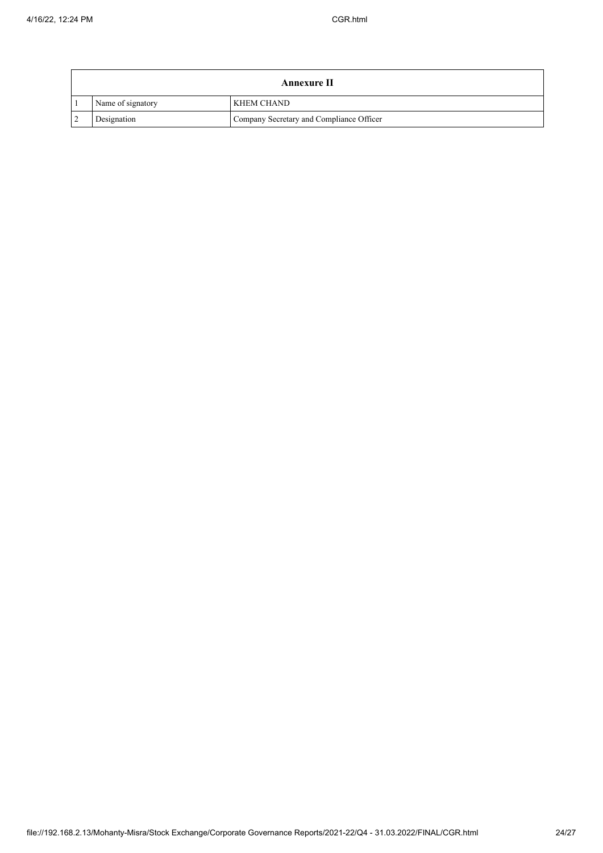| Annexure II       |                                          |  |
|-------------------|------------------------------------------|--|
| Name of signatory | <b>KHEM CHAND</b>                        |  |
| Designation       | Company Secretary and Compliance Officer |  |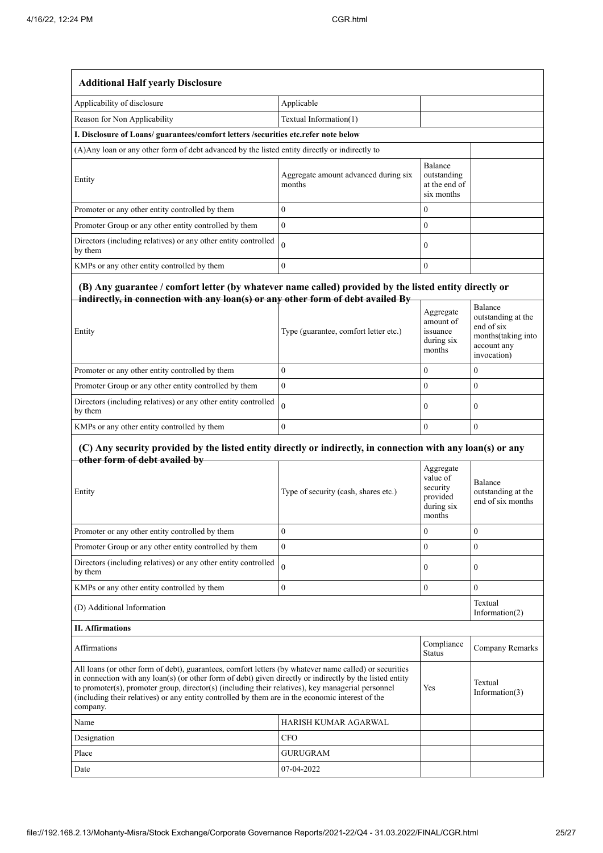| <b>Additional Half yearly Disclosure</b>                                                                                                                                                                                                                                                                                                                                                                                                       |                                                |                                                                       |                                                                                                 |  |
|------------------------------------------------------------------------------------------------------------------------------------------------------------------------------------------------------------------------------------------------------------------------------------------------------------------------------------------------------------------------------------------------------------------------------------------------|------------------------------------------------|-----------------------------------------------------------------------|-------------------------------------------------------------------------------------------------|--|
| Applicability of disclosure                                                                                                                                                                                                                                                                                                                                                                                                                    | Applicable                                     |                                                                       |                                                                                                 |  |
| Reason for Non Applicability                                                                                                                                                                                                                                                                                                                                                                                                                   | Textual Information(1)                         |                                                                       |                                                                                                 |  |
| I. Disclosure of Loans/ guarantees/comfort letters /securities etc.refer note below                                                                                                                                                                                                                                                                                                                                                            |                                                |                                                                       |                                                                                                 |  |
| (A) Any loan or any other form of debt advanced by the listed entity directly or indirectly to                                                                                                                                                                                                                                                                                                                                                 |                                                |                                                                       |                                                                                                 |  |
| Entity                                                                                                                                                                                                                                                                                                                                                                                                                                         | Aggregate amount advanced during six<br>months | Balance<br>outstanding<br>at the end of<br>six months                 |                                                                                                 |  |
| Promoter or any other entity controlled by them                                                                                                                                                                                                                                                                                                                                                                                                | $\overline{0}$                                 | $\mathbf{0}$                                                          |                                                                                                 |  |
| Promoter Group or any other entity controlled by them                                                                                                                                                                                                                                                                                                                                                                                          | $\mathbf{0}$                                   | $\mathbf{0}$                                                          |                                                                                                 |  |
| Directors (including relatives) or any other entity controlled<br>by them                                                                                                                                                                                                                                                                                                                                                                      | $\theta$                                       | $\boldsymbol{0}$                                                      |                                                                                                 |  |
| KMPs or any other entity controlled by them                                                                                                                                                                                                                                                                                                                                                                                                    | $\overline{0}$                                 | $\mathbf{0}$                                                          |                                                                                                 |  |
| (B) Any guarantee / comfort letter (by whatever name called) provided by the listed entity directly or<br>indirectly, in connection with any loan(s) or any other form of debt availed By<br>Entity                                                                                                                                                                                                                                            | Type (guarantee, comfort letter etc.)          | Aggregate<br>amount of<br>issuance<br>during six<br>months            | Balance<br>outstanding at the<br>end of six<br>months(taking into<br>account any<br>invocation) |  |
| Promoter or any other entity controlled by them                                                                                                                                                                                                                                                                                                                                                                                                | $\mathbf{0}$                                   | $\mathbf{0}$                                                          | $\mathbf{0}$                                                                                    |  |
| Promoter Group or any other entity controlled by them                                                                                                                                                                                                                                                                                                                                                                                          | $\mathbf{0}$                                   | $\mathbf{0}$                                                          | $\mathbf{0}$                                                                                    |  |
| Directors (including relatives) or any other entity controlled<br>by them                                                                                                                                                                                                                                                                                                                                                                      | $\Omega$                                       | $\mathbf{0}$                                                          | $\mathbf{0}$                                                                                    |  |
| KMPs or any other entity controlled by them                                                                                                                                                                                                                                                                                                                                                                                                    | $\theta$                                       | $\theta$                                                              | $\theta$                                                                                        |  |
| (C) Any security provided by the listed entity directly or indirectly, in connection with any loan(s) or any<br>other form of debt availed by                                                                                                                                                                                                                                                                                                  |                                                |                                                                       |                                                                                                 |  |
| Entity                                                                                                                                                                                                                                                                                                                                                                                                                                         | Type of security (cash, shares etc.)           | Aggregate<br>value of<br>security<br>provided<br>during six<br>months | Balance<br>outstanding at the<br>end of six months                                              |  |
| Promoter or any other entity controlled by them                                                                                                                                                                                                                                                                                                                                                                                                | $\boldsymbol{0}$                               | $\boldsymbol{0}$                                                      | $\boldsymbol{0}$                                                                                |  |
| Promoter Group or any other entity controlled by them                                                                                                                                                                                                                                                                                                                                                                                          | $\overline{0}$                                 | $\mathbf{0}$                                                          | $\mathbf{0}$                                                                                    |  |
| Directors (including relatives) or any other entity controlled<br>by them                                                                                                                                                                                                                                                                                                                                                                      | $\theta$                                       | $\boldsymbol{0}$                                                      | $\boldsymbol{0}$                                                                                |  |
| KMPs or any other entity controlled by them                                                                                                                                                                                                                                                                                                                                                                                                    | $\boldsymbol{0}$                               | $\boldsymbol{0}$                                                      | $\mathbf{0}$                                                                                    |  |
| (D) Additional Information                                                                                                                                                                                                                                                                                                                                                                                                                     |                                                |                                                                       | Textual<br>Information(2)                                                                       |  |
| <b>II.</b> Affirmations                                                                                                                                                                                                                                                                                                                                                                                                                        |                                                |                                                                       |                                                                                                 |  |
| Affirmations<br><b>Status</b>                                                                                                                                                                                                                                                                                                                                                                                                                  |                                                | Compliance                                                            | Company Remarks                                                                                 |  |
| All loans (or other form of debt), guarantees, comfort letters (by whatever name called) or securities<br>in connection with any loan(s) (or other form of debt) given directly or indirectly by the listed entity<br>to promoter(s), promoter group, director(s) (including their relatives), key managerial personnel<br>Yes<br>(including their relatives) or any entity controlled by them are in the economic interest of the<br>company. |                                                |                                                                       | Textual<br>Information $(3)$                                                                    |  |
| Name                                                                                                                                                                                                                                                                                                                                                                                                                                           | HARISH KUMAR AGARWAL                           |                                                                       |                                                                                                 |  |
| Designation                                                                                                                                                                                                                                                                                                                                                                                                                                    | <b>CFO</b>                                     |                                                                       |                                                                                                 |  |
| Place                                                                                                                                                                                                                                                                                                                                                                                                                                          | <b>GURUGRAM</b>                                |                                                                       |                                                                                                 |  |
| Date                                                                                                                                                                                                                                                                                                                                                                                                                                           | 07-04-2022                                     |                                                                       |                                                                                                 |  |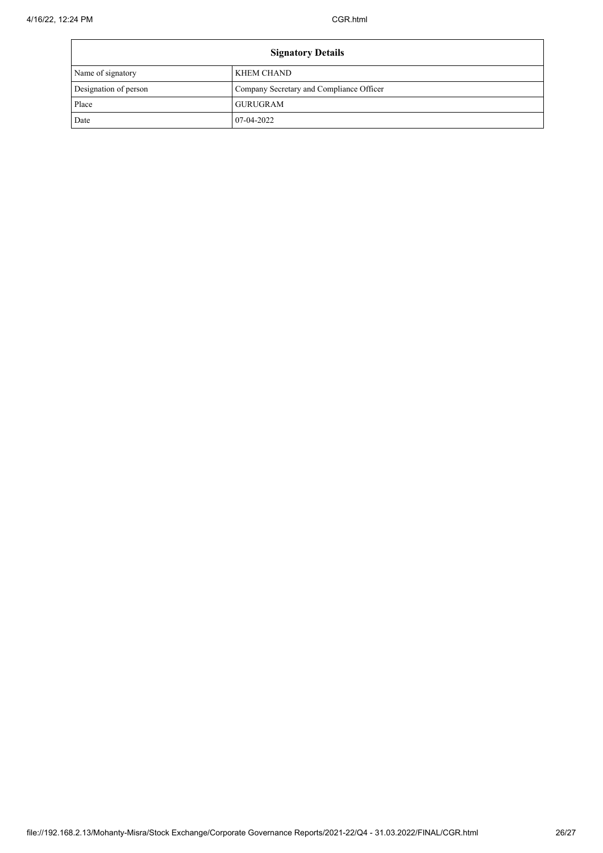| <b>Signatory Details</b> |                                          |  |
|--------------------------|------------------------------------------|--|
| Name of signatory        | <b>KHEM CHAND</b>                        |  |
| Designation of person    | Company Secretary and Compliance Officer |  |
| Place                    | <b>GURUGRAM</b>                          |  |
| Date                     | 07-04-2022                               |  |